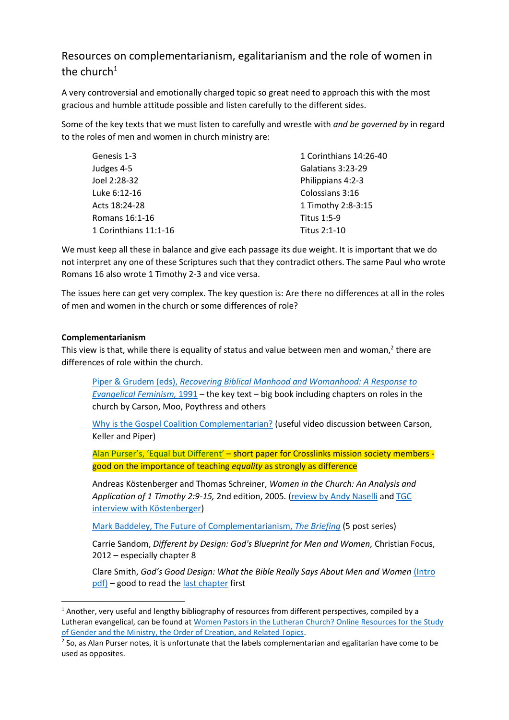## Resources on complementarianism, egalitarianism and the role of women in the church $1$

A very controversial and emotionally charged topic so great need to approach this with the most gracious and humble attitude possible and listen carefully to the different sides.

Some of the key texts that we must listen to carefully and wrestle with *and be governed by* in regard to the roles of men and women in church ministry are:

| Genesis 1-3           | 1 Corinthians 14:26-40 |
|-----------------------|------------------------|
| Judges 4-5            | Galatians 3:23-29      |
| Joel 2:28-32          | Philippians 4:2-3      |
| Luke 6:12-16          | Colossians 3:16        |
| Acts 18:24-28         | 1 Timothy 2:8-3:15     |
| Romans 16:1-16        | <b>Titus 1:5-9</b>     |
| 1 Corinthians 11:1-16 | Titus 2:1-10           |

We must keep all these in balance and give each passage its due weight. It is important that we do not interpret any one of these Scriptures such that they contradict others. The same Paul who wrote Romans 16 also wrote 1 Timothy 2-3 and vice versa.

The issues here can get very complex. The key question is: Are there no differences at all in the roles of men and women in the church or some differences of role?

## **Complementarianism**

 $\overline{a}$ 

This view is that, while there is equality of status and value between men and woman,<sup>2</sup> there are differences of role within the church.

Piper & Grudem (eds), *[Recovering Biblical Manhood and Womanhood: A Response to](http://www.desiringgod.org/books/recovering-biblical-manhood-and-womanhood)  [Evangelical Feminism,](http://www.desiringgod.org/books/recovering-biblical-manhood-and-womanhood)* 1991 – the key text – big book including chapters on roles in the church by Carson, Moo, Poythress and others

[Why is the Gospel Coalition Complementarian?](http://thegospelcoalition.org/article/why-is-tgc-complementarian/) (useful video discussion between Carson, Keller and Piper)

[Alan Purser's, 'Equal but Different'](https://href.li/?http://crosslinks.org/sites/default/files/magazine/InDepth3.pdf?utm_source=Crosslinks+Bulletin&utm_campaign=4afb066693-Crosslinks_Magazine_and_Prayer_Diary9_12_2014&utm_medium=email&utm_term=0_3aee5932a8-4afb066693-337368193) – short paper for Crosslinks mission society members good on the importance of teaching *equality* as strongly as difference

Andreas Köstenberger and Thomas Schreiner, *Women in the Church: An Analysis and Application of 1 Timothy 2:9-15,* 2nd edition, 2005*.* [\(review by Andy Naselli](http://andynaselli.com/wp-content/uploads/2009_1tim_2121.pdf) an[d TGC](http://thegospelcoalition.org/blogs/justintaylor/2008/07/30/interview-with-andreas-j-kstenberger-on/)  [interview with Köstenberger\)](http://thegospelcoalition.org/blogs/justintaylor/2008/07/30/interview-with-andreas-j-kstenberger-on/)

[Mark Baddeley, The Future of Complementarianism,](http://matthiasmedia.com/briefing/2012/04/the-future-of-complementarianism-1-feeling-nothing-more-than-christianity-has-a-masculine-feeling/) *The Briefing* (5 post series)

Carrie Sandom, *Different by Design: God's Blueprint for Men and Women,* Christian Focus, 2012 – especially chapter 8

Clare Smith, *God's Good Design: What the Bible Really Says About Men and Women* [\(Intro](http://www.wtsbooks.com/common/pdf_links/9781921896392.pdf)  [pdf\)](http://www.wtsbooks.com/common/pdf_links/9781921896392.pdf) – good to read the [last chapter](http://www.amazon.com/review/R2AD3NJ87YTSET/ref=cm_cr_pr_viewpnt#R2AD3NJ87YTSET) first

 $1$  Another, very useful and lengthy bibliography of resources from different perspectives, compiled by a Lutheran evangelical, can be found at Women Pastors in the Lutheran Church? Online Resources for the Study [of Gender and the Ministry, the Order of Creation, and Related Topics.](http://www.angelfire.com/ny4/djw/lutherantheology.womenpastors.html)

<sup>&</sup>lt;sup>2</sup> So, as Alan Purser notes, it is unfortunate that the labels complementarian and egalitarian have come to be used as opposites.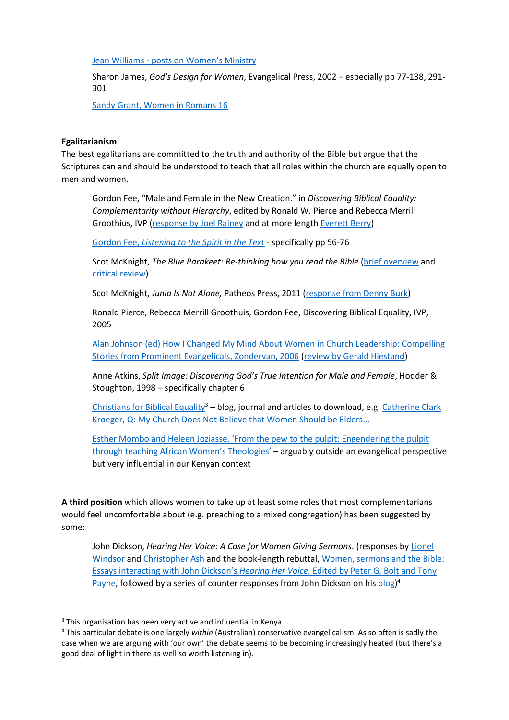Jean Williams - [posts on Women's Ministry](http://jeaninallhonesty.blogspot.com/search/label/women%27s%20ministry)

Sharon James, *God's Design for Women*, Evangelical Press, 2002 – especially pp 77-138, 291- 301

[Sandy Grant, Women in Romans 16](http://matthiasmedia.com/briefing/2008/07/women-in-romans-16/)

## **Egalitarianism**

The best egalitarians are committed to the truth and authority of the Bible but argue that the Scriptures can and should be understood to teach that all roles within the church are equally open to men and women.

Gordon Fee, "Male and Female in the New Creation." in *Discovering Biblical Equality: Complementarity without Hierarchy*, edited by Ronald W. Pierce and Rebecca Merrill Groothius, IVP [\(response by Joel Rainey](http://joelrainey.blogspot.com/2009/03/equal-in-essence-distinct-in-function.html) and at more length [Everett Berry\)](http://cdn.desiringgod.org/pdf/blog/Berry-Complementarianism%20and%20Eschatology.pdf)

Gordon Fee, *[Listening to the Spirit in the Text](http://books.google.ca/books?id=eDNDFfrgHIEC&printsec=frontcover#v=onepage&q&f=false)* - specifically pp 56-76

Scot McKnight, The Blue Parakeet: Re-thinking how you read the Bible [\(brief overview](http://nleaven.wordpress.com/2010/05/29/scot-mcknight-makes-a-case-for-women-in-ministry/) and [critical review\)](http://thegospelcoalition.org/blogs/trevinwax/2008/11/06/book-review-the-blue-parakeet/)

Scot McKnight, *Junia Is Not Alone,* Patheos Press, 2011 [\(response from Denny Burk\)](http://www.dennyburk.com/junia-is-a-woman-and-i-am-a-complementarian/)

Ronald Pierce, Rebecca Merrill Groothuis, Gordon Fee, Discovering Biblical Equality, IVP, 2005

[Alan Johnson \(ed\) How I Changed My Mind About Women in Church Leadership: Compelling](http://books.google.co.ke/books?id=jDoOECwViV0C&printsec=frontcover&dq=editions:1VKvcJNfKFUC&hl=en&sa=X&ei=Ho4OVPDECsLTaNrkgLgP&ved=0CCIQuwUwAQ#v=onepage&q&f=false)  [Stories from Prominent Evangelicals,](http://books.google.co.ke/books?id=jDoOECwViV0C&printsec=frontcover&dq=editions:1VKvcJNfKFUC&hl=en&sa=X&ei=Ho4OVPDECsLTaNrkgLgP&ved=0CCIQuwUwAQ#v=onepage&q&f=false) Zondervan, 2006 [\(review by Gerald Hiestand\)](http://thegospelcoalition.org/article/how_i_changed_my_mind_about_women_in_leadership)

Anne Atkins, *Split Image: Discovering God's True Intention for Male and Female*, Hodder & Stoughton, 1998 – specifically chapter 6

[Christians for Biblical Equality](http://www.cbeinternational.org/)<sup>3</sup> – blog, journal and articles to download, e.g. Catherine Clark [Kroeger, Q: My Church Does Not Believe that Women Should be Elders...](http://www.cbeinternational.org/resources/q-my-church-does-not-believe-women-should-be-elders)

Esther Mombo and Heleen Joziasse, 'From [the pew to the pulpit: Engendering the pulpit](http://academic.sun.ac.za/teologie/netact/genderequality2011/new/Ch15-PewtoPulpit-Mombo-Joziasse.pdf)  [through teaching African Women's Theologies'](http://academic.sun.ac.za/teologie/netact/genderequality2011/new/Ch15-PewtoPulpit-Mombo-Joziasse.pdf) – arguably outside an evangelical perspective but very influential in our Kenyan context

**A third position** which allows women to take up at least some roles that most complementarians would feel uncomfortable about (e.g. preaching to a mixed congregation) has been suggested by some:

John Dickson, *Hearing Her Voice: A Case for Women Giving Sermons*. (responses b[y Lionel](http://www.lionelwindsor.net/2013/01/03/response-dickson-hearing-her-voice/)  [Windsor](http://www.lionelwindsor.net/2013/01/03/response-dickson-hearing-her-voice/) an[d Christopher Ash](http://www.proctrust.org.uk/proclaimer/page/43/?page=73) and the book-length rebuttal[, Women, sermons and the Bible:](http://www.lionelwindsor.net/2014/05/09/women-sermons-and-the-bible/#fnref-163941-1)  [Essays interacting with John Dickson's](http://www.lionelwindsor.net/2014/05/09/women-sermons-and-the-bible/#fnref-163941-1) *Hearing Her Voice*. Edited by Peter G. Bolt and Tony [Payne,](http://www.lionelwindsor.net/2014/05/09/women-sermons-and-the-bible/#fnref-163941-1) followed by a series of counter responses from John Dickson on his [blog\)](http://www.johndickson.org/blog)<sup>4</sup>

**.** 

<sup>&</sup>lt;sup>3</sup> This organisation has been very active and influential in Kenya.

<sup>4</sup> This particular debate is one largely *within* (Australian) conservative evangelicalism. As so often is sadly the case when we are arguing with 'our own' the debate seems to be becoming increasingly heated (but there's a good deal of light in there as well so worth listening in).